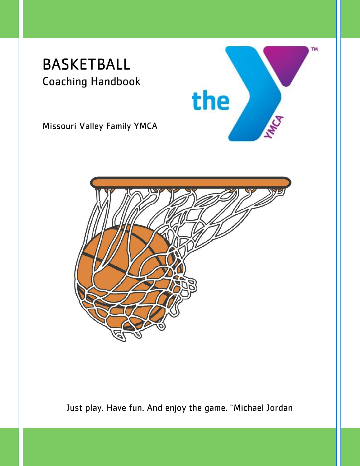## BASKETBALL Coaching Handbook





the

**TM** 

Just play. Have fun. And enjoy the game. "Michael Jordan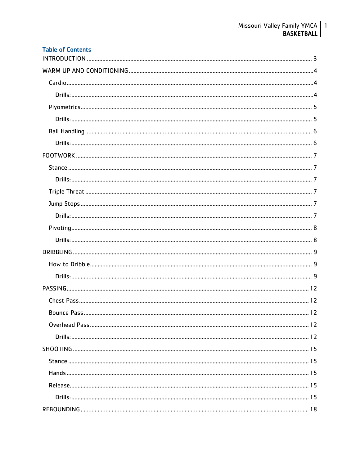| <b>Table of Contents</b> |  |
|--------------------------|--|
|                          |  |
|                          |  |
|                          |  |
|                          |  |
|                          |  |
|                          |  |
|                          |  |
|                          |  |
|                          |  |
|                          |  |
|                          |  |
|                          |  |
|                          |  |
|                          |  |
|                          |  |
|                          |  |
|                          |  |
|                          |  |
|                          |  |
|                          |  |
|                          |  |
|                          |  |
|                          |  |
|                          |  |
|                          |  |
|                          |  |
|                          |  |
|                          |  |
|                          |  |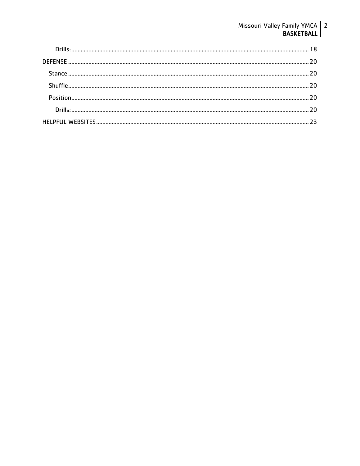# Missouri Valley Family YMCA 2<br>BASKETBALL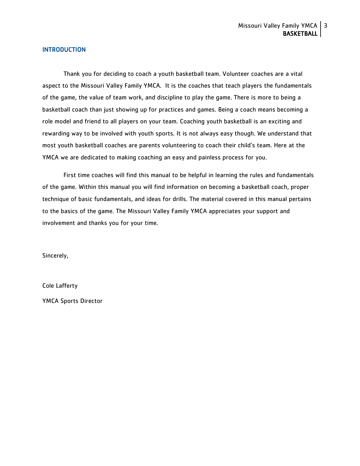#### <span id="page-3-0"></span>INTRODUCTION

Thank you for deciding to coach a youth basketball team. Volunteer coaches are a vital aspect to the Missouri Valley Family YMCA. It is the coaches that teach players the fundamentals of the game, the value of team work, and discipline to play the game. There is more to being a basketball coach than just showing up for practices and games. Being a coach means becoming a role model and friend to all players on your team. Coaching youth basketball is an exciting and rewarding way to be involved with youth sports. It is not always easy though. We understand that most youth basketball coaches are parents volunteering to coach their child's team. Here at the YMCA we are dedicated to making coaching an easy and painless process for you.

First time coaches will find this manual to be helpful in learning the rules and fundamentals of the game. Within this manual you will find information on becoming a basketball coach, proper technique of basic fundamentals, and ideas for drills. The material covered in this manual pertains to the basics of the game. The Missouri Valley Family YMCA appreciates your support and involvement and thanks you for your time.

Sincerely,

Cole Lafferty

YMCA Sports Director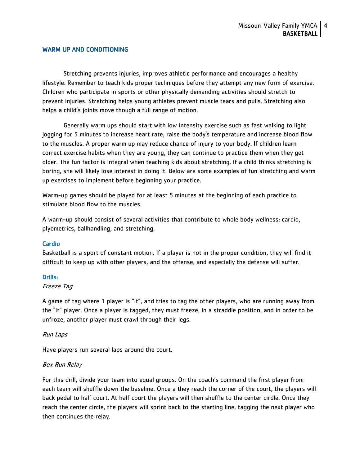## <span id="page-4-0"></span>WARM UP AND CONDITIONING

Stretching prevents injuries, improves athletic performance and encourages a healthy lifestyle. Remember to teach kids proper techniques before they attempt any new form of exercise. Children who participate in sports or other physically demanding activities should stretch to prevent injuries. Stretching helps young athletes prevent muscle tears and pulls. Stretching also helps a child's joints move though a full range of motion.

Generally warm ups should start with low intensity exercise such as fast walking to light jogging for 5 minutes to increase heart rate, raise the body's temperature and increase blood flow to the muscles. A proper warm up may reduce chance of injury to your body. If children learn correct exercise habits when they are young, they can continue to practice them when they get older. The fun factor is integral when teaching kids about stretching. If a child thinks stretching is boring, she will likely lose interest in doing it. Below are some examples of fun stretching and warm up exercises to implement before beginning your practice.

Warm-up games should be played for at least 5 minutes at the beginning of each practice to stimulate blood flow to the muscles.

A warm-up should consist of several activities that contribute to whole body wellness: cardio, plyometrics, ballhandling, and stretching.

#### <span id="page-4-1"></span>Cardio

Basketball is a sport of constant motion. If a player is not in the proper condition, they will find it difficult to keep up with other players, and the offense, and especially the defense will suffer.

#### <span id="page-4-2"></span>Drills:

#### Freeze Tag

A game of tag where 1 player is "it", and tries to tag the other players, who are running away from the "it" player. Once a player is tagged, they must freeze, in a straddle position, and in order to be unfroze, another player must crawl through their legs.

Run Laps

Have players run several laps around the court.

#### Box Run Relay

For this drill, divide your team into equal groups. On the coach's command the first player from each team will shuffle down the baseline. Once a they reach the corner of the court, the players will back pedal to half court. At half court the players will then shuffle to the center cirdle. Once they reach the center circle, the players will sprint back to the starting line, tagging the next player who then continues the relay.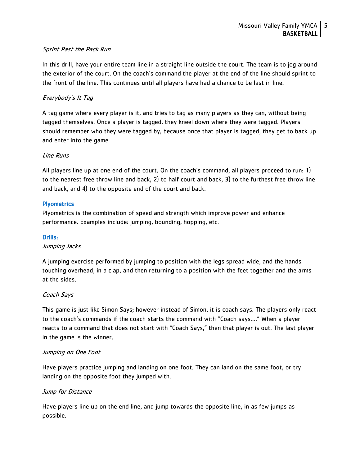## Sprint Past the Pack Run

In this drill, have your entire team line in a straight line outside the court. The team is to jog around the exterior of the court. On the coach's command the player at the end of the line should sprint to the front of the line. This continues until all players have had a chance to be last in line.

## Everybody's It Tag

A tag game where every player is it, and tries to tag as many players as they can, without being tagged themselves. Once a player is tagged, they kneel down where they were tagged. Players should remember who they were tagged by, because once that player is tagged, they get to back up and enter into the game.

## Line Runs

All players line up at one end of the court. On the coach's command, all players proceed to run: 1) to the nearest free throw line and back, 2) to half court and back, 3) to the furthest free throw line and back, and 4) to the opposite end of the court and back.

## <span id="page-5-0"></span>**Plyometrics**

Plyometrics is the combination of speed and strength which improve power and enhance performance. Examples include: jumping, bounding, hopping, etc.

## <span id="page-5-1"></span>Drills:

#### Jumping Jacks

A jumping exercise performed by jumping to position with the legs spread wide, and the hands touching overhead, in a clap, and then returning to a position with the feet together and the arms at the sides.

## Coach Says

This game is just like Simon Says; however instead of Simon, it is coach says. The players only react to the coach's commands if the coach starts the command with "Coach says…." When a player reacts to a command that does not start with "Coach Says," then that player is out. The last player in the game is the winner.

#### Jumping on One Foot

Have players practice jumping and landing on one foot. They can land on the same foot, or try landing on the opposite foot they jumped with.

## Jump for Distance

Have players line up on the end line, and jump towards the opposite line, in as few jumps as possible.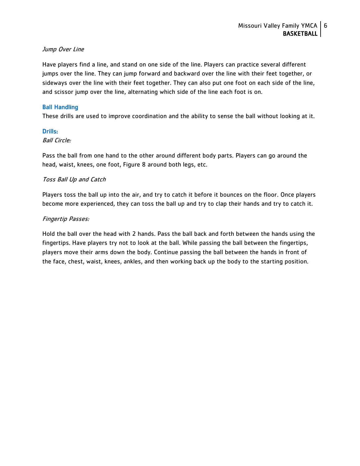## Jump Over Line

Have players find a line, and stand on one side of the line. Players can practice several different jumps over the line. They can jump forward and backward over the line with their feet together, or sideways over the line with their feet together. They can also put one foot on each side of the line, and scissor jump over the line, alternating which side of the line each foot is on.

## <span id="page-6-0"></span>Ball Handling

These drills are used to improve coordination and the ability to sense the ball without looking at it.

## <span id="page-6-1"></span>Drills:

## Ball Circle:

Pass the ball from one hand to the other around different body parts. Players can go around the head, waist, knees, one foot, Figure 8 around both legs, etc.

## Toss Ball Up and Catch

Players toss the ball up into the air, and try to catch it before it bounces on the floor. Once players become more experienced, they can toss the ball up and try to clap their hands and try to catch it.

## Fingertip Passes:

Hold the ball over the head with 2 hands. Pass the ball back and forth between the hands using the fingertips. Have players try not to look at the ball. While passing the ball between the fingertips, players move their arms down the body. Continue passing the ball between the hands in front of the face, chest, waist, knees, ankles, and then working back up the body to the starting position.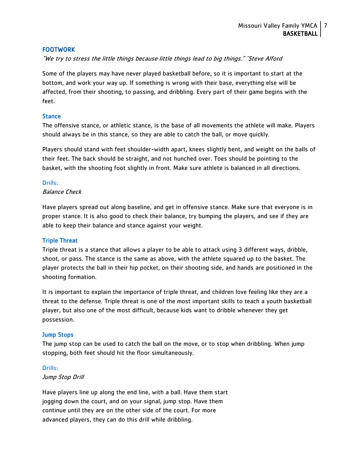## <span id="page-7-0"></span>FOOTWORK

"We try to stress the little things because little things lead to big things." ~Steve Alford

Some of the players may have never played basketball before, so it is important to start at the bottom, and work your way up. If something is wrong with their base, everything else will be affected, from their shooting, to passing, and dribbling. Every part of their game begins with the feet.

#### <span id="page-7-1"></span>**Stance**

The offensive stance, or athletic stance, is the base of all movements the athlete will make. Players should always be in this stance, so they are able to catch the ball, or move quickly.

Players should stand with feet shoulder-width apart, knees slightly bent, and weight on the balls of their feet. The back should be straight, and not hunched over. Toes should be pointing to the basket, with the shooting foot slightly in front. Make sure athlete is balanced in all directions.

#### <span id="page-7-2"></span>Drills:

## Balance Check

Have players spread out along baseline, and get in offensive stance. Make sure that everyone is in proper stance. It is also good to check their balance, try bumping the players, and see if they are able to keep their balance and stance against your weight.

## <span id="page-7-3"></span>Triple Threat

Triple threat is a stance that allows a player to be able to attack using 3 different ways, dribble, shoot, or pass. The stance is the same as above, with the athlete squared up to the basket. The player protects the ball in their hip pocket, on their shooting side, and hands are positioned in the shooting formation.

It is important to explain the importance of triple threat, and children love feeling like they are a threat to the defense. Triple threat is one of the most important skills to teach a youth basketball player, but also one of the most difficult, because kids want to dribble whenever they get possession.

## <span id="page-7-4"></span>Jump Stops

The jump stop can be used to catch the ball on the move, or to stop when dribbling. When jump stopping, both feet should hit the floor simultaneously.

#### <span id="page-7-5"></span>Drills:

#### Jump Stop Drill

Have players line up along the end line, with a ball. Have them start jogging down the court, and on your signal, jump stop. Have them continue until they are on the other side of the court. For more advanced players, they can do this drill while dribbling.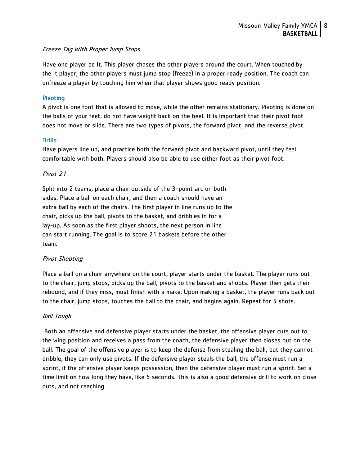## Freeze Tag With Proper Jump Stops

Have one player be It. This player chases the other players around the court. When touched by the It player, the other players must jump stop (freeze) in a proper ready position. The coach can unfreeze a player by touching him when that player shows good ready position.

## <span id="page-8-0"></span>Pivoting

A pivot is one foot that is allowed to move, while the other remains stationary. Pivoting is done on the balls of your feet, do not have weight back on the heel. It is important that their pivot foot does not move or slide. There are two types of pivots, the forward pivot, and the reverse pivot.

## <span id="page-8-1"></span>Drills:

Have players line up, and practice both the forward pivot and backward pivot, until they feel comfortable with both. Players should also be able to use either foot as their pivot foot.

## Pivot 21

Split into 2 teams, place a chair outside of the 3-point arc on both sides. Place a ball on each chair, and then a coach should have an extra ball by each of the chairs. The first player in line runs up to the chair, picks up the ball, pivots to the basket, and dribbles in for a lay-up. As soon as the first player shoots, the next person in line can start running. The goal is to score 21 baskets before the other team.

## Pivot Shooting

Place a ball on a chair anywhere on the court, player starts under the basket. The player runs out to the chair, jump stops, picks up the ball, pivots to the basket and shoots. Player then gets their rebound, and if they miss, must finish with a make. Upon making a basket, the player runs back out to the chair, jump stops, touches the ball to the chair, and begins again. Repeat for 5 shots.

## Ball Tough

Both an offensive and defensive player starts under the basket, the offensive player cuts out to the wing position and receives a pass from the coach, the defensive player then closes out on the ball. The goal of the offensive player is to keep the defense from stealing the ball, but they cannot dribble, they can only use pivots. If the defensive player steals the ball, the offense must run a sprint, if the offensive player keeps possession, then the defensive player must run a sprint. Set a time limit on how long they have, like 5 seconds. This is also a good defensive drill to work on close outs, and not reaching.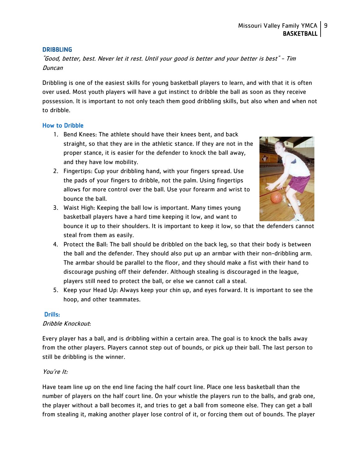## <span id="page-9-0"></span>**DRIBBLING**

"Good, better, best. Never let it rest. Until your good is better and your better is best" - Tim Duncan

Dribbling is one of the easiest skills for young basketball players to learn, and with that it is often over used. Most youth players will have a gut instinct to dribble the ball as soon as they receive possession. It is important to not only teach them good dribbling skills, but also when and when not to dribble.

## <span id="page-9-1"></span>How to Dribble

- 1. Bend Knees: The athlete should have their knees bent, and back straight, so that they are in the athletic stance. If they are not in the proper stance, it is easier for the defender to knock the ball away, and they have low mobility.
- 2. Fingertips: Cup your dribbling hand, with your fingers spread. Use the pads of your fingers to dribble, not the palm. Using fingertips allows for more control over the ball. Use your forearm and wrist to bounce the ball.
- 
- 3. Waist High: Keeping the ball low is important. Many times young basketball players have a hard time keeping it low, and want to

bounce it up to their shoulders. It is important to keep it low, so that the defenders cannot steal from them as easily.

- 4. Protect the Ball: The ball should be dribbled on the back leg, so that their body is between the ball and the defender. They should also put up an armbar with their non-dribbling arm. The armbar should be parallel to the floor, and they should make a fist with their hand to discourage pushing off their defender. Although stealing is discouraged in the league, players still need to protect the ball, or else we cannot call a steal.
- 5. Keep your Head Up: Always keep your chin up, and eyes forward. It is important to see the hoop, and other teammates.

## <span id="page-9-2"></span>Drills:

## Dribble Knockout:

Every player has a ball, and is dribbling within a certain area. The goal is to knock the balls away from the other players. Players cannot step out of bounds, or pick up their ball. The last person to still be dribbling is the winner.

## You're It:

Have team line up on the end line facing the half court line. Place one less basketball than the number of players on the half court line. On your whistle the players run to the balls, and grab one, the player without a ball becomes it, and tries to get a ball from someone else. They can get a ball from stealing it, making another player lose control of it, or forcing them out of bounds. The player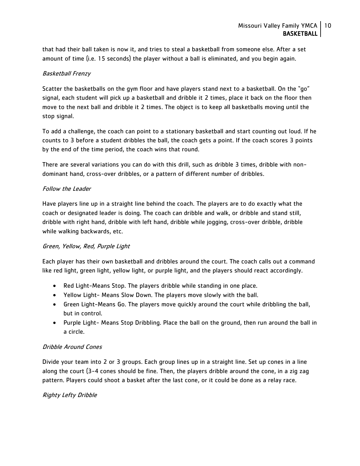that had their ball taken is now it, and tries to steal a basketball from someone else. After a set amount of time (i.e. 15 seconds) the player without a ball is eliminated, and you begin again.

## Basketball Frenzy

Scatter the basketballs on the gym floor and have players stand next to a basketball. On the "go" signal, each student will pick up a basketball and dribble it 2 times, place it back on the floor then move to the next ball and dribble it 2 times. The object is to keep all basketballs moving until the stop signal.

To add a challenge, the coach can point to a stationary basketball and start counting out loud. If he counts to 3 before a student dribbles the ball, the coach gets a point. If the coach scores 3 points by the end of the time period, the coach wins that round.

There are several variations you can do with this drill, such as dribble 3 times, dribble with nondominant hand, cross-over dribbles, or a pattern of different number of dribbles.

## Follow the Leader

Have players line up in a straight line behind the coach. The players are to do exactly what the coach or designated leader is doing. The coach can dribble and walk, or dribble and stand still, dribble with right hand, dribble with left hand, dribble while jogging, cross-over dribble, dribble while walking backwards, etc.

## Green, Yellow, Red, Purple Light

Each player has their own basketball and dribbles around the court. The coach calls out a command like red light, green light, yellow light, or purple light, and the players should react accordingly.

- Red Light-Means Stop. The players dribble while standing in one place.
- Yellow Light- Means Slow Down. The players move slowly with the ball.
- Green Light-Means Go. The players move quickly around the court while dribbling the ball, but in control.
- Purple Light- Means Stop Dribbling. Place the ball on the ground, then run around the ball in a circle.

## Dribble Around Cones

Divide your team into 2 or 3 groups. Each group lines up in a straight line. Set up cones in a line along the court (3-4 cones should be fine. Then, the players dribble around the cone, in a zig zag pattern. Players could shoot a basket after the last cone, or it could be done as a relay race.

## Righty Lefty Dribble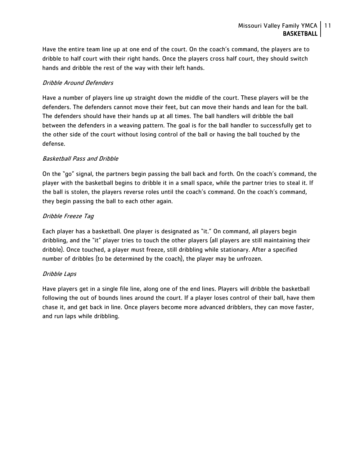Have the entire team line up at one end of the court. On the coach's command, the players are to dribble to half court with their right hands. Once the players cross half court, they should switch hands and dribble the rest of the way with their left hands.

## Dribble Around Defenders

Have a number of players line up straight down the middle of the court. These players will be the defenders. The defenders cannot move their feet, but can move their hands and lean for the ball. The defenders should have their hands up at all times. The ball handlers will dribble the ball between the defenders in a weaving pattern. The goal is for the ball handler to successfully get to the other side of the court without losing control of the ball or having the ball touched by the defense.

## Basketball Pass and Dribble

On the "go" signal, the partners begin passing the ball back and forth. On the coach's command, the player with the basketball begins to dribble it in a small space, while the partner tries to steal it. If the ball is stolen, the players reverse roles until the coach's command. On the coach's command, they begin passing the ball to each other again.

## Dribble Freeze Tag

Each player has a basketball. One player is designated as "it." On command, all players begin dribbling, and the "it" player tries to touch the other players (all players are still maintaining their dribble). Once touched, a player must freeze, still dribbling while stationary. After a specified number of dribbles (to be determined by the coach), the player may be unfrozen.

## Dribble Laps

Have players get in a single file line, along one of the end lines. Players will dribble the basketball following the out of bounds lines around the court. If a player loses control of their ball, have them chase it, and get back in line. Once players become more advanced dribblers, they can move faster, and run laps while dribbling.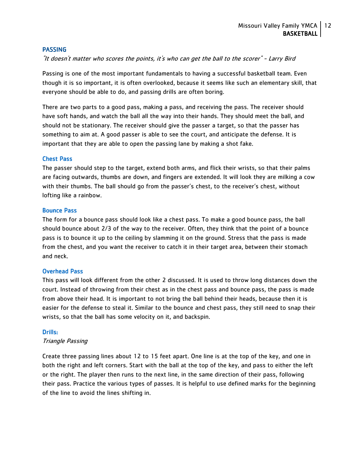#### <span id="page-12-0"></span>**PASSING**

"It doesn't matter who scores the points, it's who can get the ball to the scorer" - Larry Bird

Passing is one of the most important fundamentals to having a successful basketball team. Even though it is so important, it is often overlooked, because it seems like such an elementary skill, that everyone should be able to do, and passing drills are often boring.

There are two parts to a good pass, making a pass, and receiving the pass. The receiver should have soft hands, and watch the ball all the way into their hands. They should meet the ball, and should not be stationary. The receiver should give the passer a target, so that the passer has something to aim at. A good passer is able to see the court, and anticipate the defense. It is important that they are able to open the passing lane by making a shot fake.

#### <span id="page-12-1"></span>Chest Pass

The passer should step to the target, extend both arms, and flick their wrists, so that their palms are facing outwards, thumbs are down, and fingers are extended. It will look they are milking a cow with their thumbs. The ball should go from the passer's chest, to the receiver's chest, without lofting like a rainbow.

#### <span id="page-12-2"></span>Bounce Pass

The form for a bounce pass should look like a chest pass. To make a good bounce pass, the ball should bounce about 2/3 of the way to the receiver. Often, they think that the point of a bounce pass is to bounce it up to the ceiling by slamming it on the ground. Stress that the pass is made from the chest, and you want the receiver to catch it in their target area, between their stomach and neck.

## <span id="page-12-3"></span>Overhead Pass

This pass will look different from the other 2 discussed. It is used to throw long distances down the court. Instead of throwing from their chest as in the chest pass and bounce pass, the pass is made from above their head. It is important to not bring the ball behind their heads, because then it is easier for the defense to steal it. Similar to the bounce and chest pass, they still need to snap their wrists, so that the ball has some velocity on it, and backspin.

#### <span id="page-12-4"></span>Drills:

#### Triangle Passing

Create three passing lines about 12 to 15 feet apart. One line is at the top of the key, and one in both the right and left corners. Start with the ball at the top of the key, and pass to either the left or the right. The player then runs to the next line, in the same direction of their pass, following their pass. Practice the various types of passes. It is helpful to use defined marks for the beginning of the line to avoid the lines shifting in.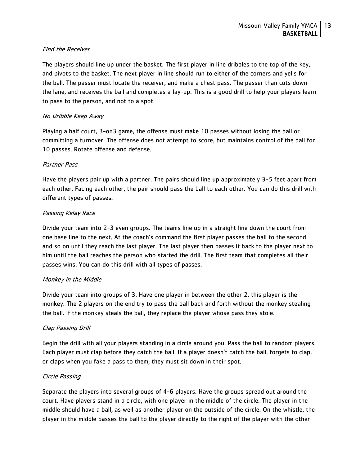## Find the Receiver

The players should line up under the basket. The first player in line dribbles to the top of the key, and pivots to the basket. The next player in line should run to either of the corners and yells for the ball. The passer must locate the receiver, and make a chest pass. The passer than cuts down the lane, and receives the ball and completes a lay-up. This is a good drill to help your players learn to pass to the person, and not to a spot.

## No Dribble Keep Away

Playing a half court, 3-on3 game, the offense must make 10 passes without losing the ball or committing a turnover. The offense does not attempt to score, but maintains control of the ball for 10 passes. Rotate offense and defense.

## Partner Pass

Have the players pair up with a partner. The pairs should line up approximately 3-5 feet apart from each other. Facing each other, the pair should pass the ball to each other. You can do this drill with different types of passes.

## Passing Relay Race

Divide your team into 2-3 even groups. The teams line up in a straight line down the court from one base line to the next. At the coach's command the first player passes the ball to the second and so on until they reach the last player. The last player then passes it back to the player next to him until the ball reaches the person who started the drill. The first team that completes all their passes wins. You can do this drill with all types of passes.

## Monkey in the Middle

Divide your team into groups of 3. Have one player in between the other 2, this player is the monkey. The 2 players on the end try to pass the ball back and forth without the monkey stealing the ball. If the monkey steals the ball, they replace the player whose pass they stole.

## Clap Passing Drill

Begin the drill with all your players standing in a circle around you. Pass the ball to random players. Each player must clap before they catch the ball. If a player doesn't catch the ball, forgets to clap, or claps when you fake a pass to them, they must sit down in their spot.

## Circle Passing

Separate the players into several groups of 4-6 players. Have the groups spread out around the court. Have players stand in a circle, with one player in the middle of the circle. The player in the middle should have a ball, as well as another player on the outside of the circle. On the whistle, the player in the middle passes the ball to the player directly to the right of the player with the other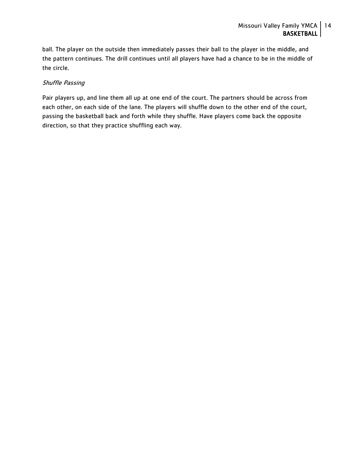ball. The player on the outside then immediately passes their ball to the player in the middle, and the pattern continues. The drill continues until all players have had a chance to be in the middle of the circle.

## Shuffle Passing

Pair players up, and line them all up at one end of the court. The partners should be across from each other, on each side of the lane. The players will shuffle down to the other end of the court, passing the basketball back and forth while they shuffle. Have players come back the opposite direction, so that they practice shuffling each way.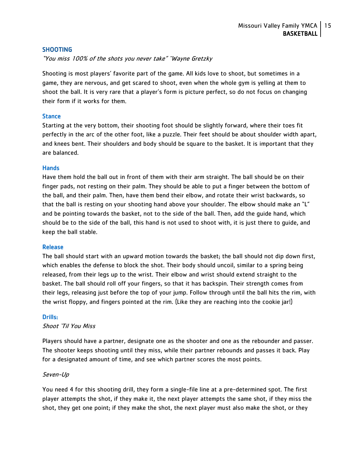## <span id="page-15-0"></span>SHOOTING

"You miss 100% of the shots you never take" ~Wayne Gretzky

Shooting is most players' favorite part of the game. All kids love to shoot, but sometimes in a game, they are nervous, and get scared to shoot, even when the whole gym is yelling at them to shoot the ball. It is very rare that a player's form is picture perfect, so do not focus on changing their form if it works for them.

## <span id="page-15-1"></span>**Stance**

Starting at the very bottom, their shooting foot should be slightly forward, where their toes fit perfectly in the arc of the other foot, like a puzzle. Their feet should be about shoulder width apart, and knees bent. Their shoulders and body should be square to the basket. It is important that they are balanced.

#### <span id="page-15-2"></span>**Hands**

Have them hold the ball out in front of them with their arm straight. The ball should be on their finger pads, not resting on their palm. They should be able to put a finger between the bottom of the ball, and their palm. Then, have them bend their elbow, and rotate their wrist backwards, so that the ball is resting on your shooting hand above your shoulder. The elbow should make an "L" and be pointing towards the basket, not to the side of the ball. Then, add the guide hand, which should be to the side of the ball, this hand is not used to shoot with, it is just there to guide, and keep the ball stable.

#### <span id="page-15-3"></span>Release

The ball should start with an upward motion towards the basket; the ball should not dip down first, which enables the defense to block the shot. Their body should uncoil, similar to a spring being released, from their legs up to the wrist. Their elbow and wrist should extend straight to the basket. The ball should roll off your fingers, so that it has backspin. Their strength comes from their legs, releasing just before the top of your jump. Follow through until the ball hits the rim, with the wrist floppy, and fingers pointed at the rim. (Like they are reaching into the cookie jar!)

#### <span id="page-15-4"></span>Drills:

Shoot 'Til You Miss

Players should have a partner, designate one as the shooter and one as the rebounder and passer. The shooter keeps shooting until they miss, while their partner rebounds and passes it back. Play for a designated amount of time, and see which partner scores the most points.

#### Seven-Up

You need 4 for this shooting drill, they form a single-file line at a pre-determined spot. The first player attempts the shot, if they make it, the next player attempts the same shot, if they miss the shot, they get one point; if they make the shot, the next player must also make the shot, or they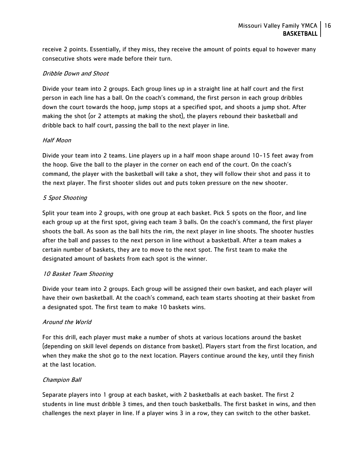receive 2 points. Essentially, if they miss, they receive the amount of points equal to however many consecutive shots were made before their turn.

## Dribble Down and Shoot

Divide your team into 2 groups. Each group lines up in a straight line at half court and the first person in each line has a ball. On the coach's command, the first person in each group dribbles down the court towards the hoop, jump stops at a specified spot, and shoots a jump shot. After making the shot (or 2 attempts at making the shot), the players rebound their basketball and dribble back to half court, passing the ball to the next player in line.

## Half Moon

Divide your team into 2 teams. Line players up in a half moon shape around 10-15 feet away from the hoop. Give the ball to the player in the corner on each end of the court. On the coach's command, the player with the basketball will take a shot, they will follow their shot and pass it to the next player. The first shooter slides out and puts token pressure on the new shooter.

## 5 Spot Shooting

Split your team into 2 groups, with one group at each basket. Pick 5 spots on the floor, and line each group up at the first spot, giving each team 3 balls. On the coach's command, the first player shoots the ball. As soon as the ball hits the rim, the next player in line shoots. The shooter hustles after the ball and passes to the next person in line without a basketball. After a team makes a certain number of baskets, they are to move to the next spot. The first team to make the designated amount of baskets from each spot is the winner.

## 10 Basket Team Shooting

Divide your team into 2 groups. Each group will be assigned their own basket, and each player will have their own basketball. At the coach's command, each team starts shooting at their basket from a designated spot. The first team to make 10 baskets wins.

## Around the World

For this drill, each player must make a number of shots at various locations around the basket (depending on skill level depends on distance from basket). Players start from the first location, and when they make the shot go to the next location. Players continue around the key, until they finish at the last location.

## Champion Ball

Separate players into 1 group at each basket, with 2 basketballs at each basket. The first 2 students in line must dribble 3 times, and then touch basketballs. The first basket in wins, and then challenges the next player in line. If a player wins 3 in a row, they can switch to the other basket.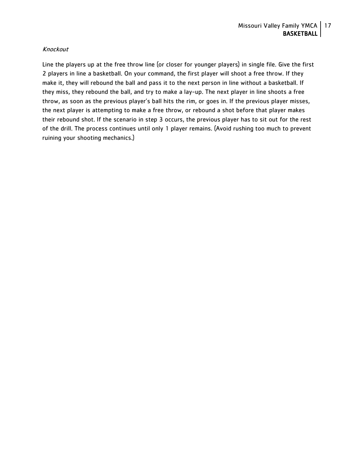## Knockout

Line the players up at the free throw line (or closer for younger players) in single file. Give the first 2 players in line a basketball. On your command, the first player will shoot a free throw. If they make it, they will rebound the ball and pass it to the next person in line without a basketball. If they miss, they rebound the ball, and try to make a lay-up. The next player in line shoots a free throw, as soon as the previous player's ball hits the rim, or goes in. If the previous player misses, the next player is attempting to make a free throw, or rebound a shot before that player makes their rebound shot. If the scenario in step 3 occurs, the previous player has to sit out for the rest of the drill. The process continues until only 1 player remains. (Avoid rushing too much to prevent ruining your shooting mechanics.)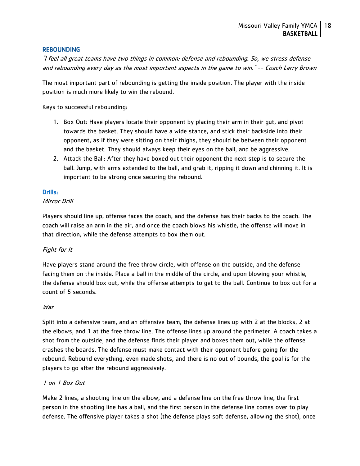## <span id="page-18-0"></span>**REBOUNDING**

"I feel all great teams have two things in common: defense and rebounding. So, we stress defense and rebounding every day as the most important aspects in the game to win." -- Coach Larry Brown

The most important part of rebounding is getting the inside position. The player with the inside position is much more likely to win the rebound.

Keys to successful rebounding:

- 1. Box Out: Have players locate their opponent by placing their arm in their gut, and pivot towards the basket. They should have a wide stance, and stick their backside into their opponent, as if they were sitting on their thighs, they should be between their opponent and the basket. They should always keep their eyes on the ball, and be aggressive.
- 2. Attack the Ball: After they have boxed out their opponent the next step is to secure the ball. Jump, with arms extended to the ball, and grab it, ripping it down and chinning it. It is important to be strong once securing the rebound.

#### <span id="page-18-1"></span>Drills:

#### Mirror Drill

Players should line up, offense faces the coach, and the defense has their backs to the coach. The coach will raise an arm in the air, and once the coach blows his whistle, the offense will move in that direction, while the defense attempts to box them out.

## Fight for It

Have players stand around the free throw circle, with offense on the outside, and the defense facing them on the inside. Place a ball in the middle of the circle, and upon blowing your whistle, the defense should box out, while the offense attempts to get to the ball. Continue to box out for a count of 5 seconds.

#### **War**

Split into a defensive team, and an offensive team, the defense lines up with 2 at the blocks, 2 at the elbows, and 1 at the free throw line. The offense lines up around the perimeter. A coach takes a shot from the outside, and the defense finds their player and boxes them out, while the offense crashes the boards. The defense must make contact with their opponent before going for the rebound. Rebound everything, even made shots, and there is no out of bounds, the goal is for the players to go after the rebound aggressively.

#### 1 on 1 Box Out

Make 2 lines, a shooting line on the elbow, and a defense line on the free throw line, the first person in the shooting line has a ball, and the first person in the defense line comes over to play defense. The offensive player takes a shot (the defense plays soft defense, allowing the shot), once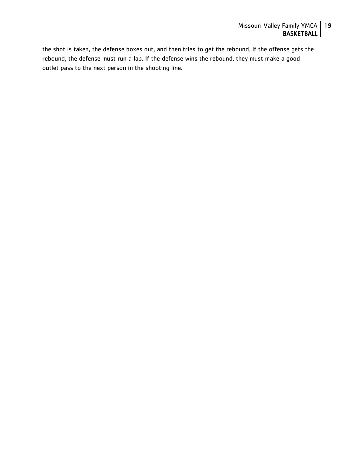the shot is taken, the defense boxes out, and then tries to get the rebound. If the offense gets the rebound, the defense must run a lap. If the defense wins the rebound, they must make a good outlet pass to the next person in the shooting line.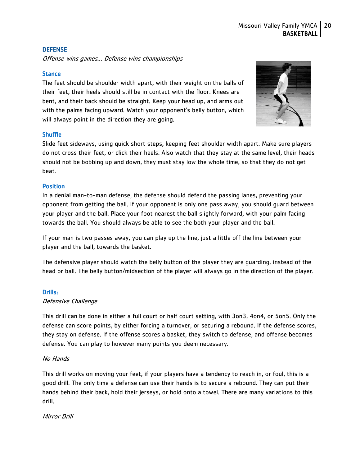## <span id="page-20-0"></span>**DEFENSE**

Offense wins games… Defense wins championships

## <span id="page-20-1"></span>**Stance**

The feet should be shoulder width apart, with their weight on the balls of their feet, their heels should still be in contact with the floor. Knees are bent, and their back should be straight. Keep your head up, and arms out with the palms facing upward. Watch your opponent's belly button, which will always point in the direction they are going.



## <span id="page-20-2"></span>**Shuffle**

Slide feet sideways, using quick short steps, keeping feet shoulder width apart. Make sure players do not cross their feet, or click their heels. Also watch that they stay at the same level, their heads should not be bobbing up and down, they must stay low the whole time, so that they do not get beat.

#### <span id="page-20-3"></span>**Position**

In a denial man-to-man defense, the defense should defend the passing lanes, preventing your opponent from getting the ball. If your opponent is only one pass away, you should guard between your player and the ball. Place your foot nearest the ball slightly forward, with your palm facing towards the ball. You should always be able to see the both your player and the ball.

If your man is two passes away, you can play up the line, just a little off the line between your player and the ball, towards the basket.

The defensive player should watch the belly button of the player they are guarding, instead of the head or ball. The belly button/midsection of the player will always go in the direction of the player.

#### <span id="page-20-4"></span>Drills:

Defensive Challenge

This drill can be done in either a full court or half court setting, with 3on3, 4on4, or 5on5. Only the defense can score points, by either forcing a turnover, or securing a rebound. If the defense scores, they stay on defense. If the offense scores a basket, they switch to defense, and offense becomes defense. You can play to however many points you deem necessary.

## No Hands

This drill works on moving your feet, if your players have a tendency to reach in, or foul, this is a good drill. The only time a defense can use their hands is to secure a rebound. They can put their hands behind their back, hold their jerseys, or hold onto a towel. There are many variations to this drill.

#### Mirror Drill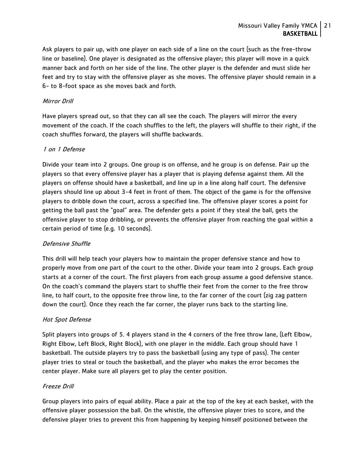Ask players to pair up, with one player on each side of a line on the court (such as the free-throw line or baseline). One player is designated as the offensive player; this player will move in a quick manner back and forth on her side of the line. The other player is the defender and must slide her feet and try to stay with the offensive player as she moves. The offensive player should remain in a 6- to 8-foot space as she moves back and forth.

## Mirror Drill

Have players spread out, so that they can all see the coach. The players will mirror the every movement of the coach. If the coach shuffles to the left, the players will shuffle to their right, if the coach shuffles forward, the players will shuffle backwards.

## 1 on 1 Defense

Divide your team into 2 groups. One group is on offense, and he group is on defense. Pair up the players so that every offensive player has a player that is playing defense against them. All the players on offense should have a basketball, and line up in a line along half court. The defensive players should line up about 3-4 feet in front of them. The object of the game is for the offensive players to dribble down the court, across a specified line. The offensive player scores a point for getting the ball past the "goal" area. The defender gets a point if they steal the ball, gets the offensive player to stop dribbling, or prevents the offensive player from reaching the goal within a certain period of time (e.g. 10 seconds).

## Defensive Shuffle

This drill will help teach your players how to maintain the proper defensive stance and how to properly move from one part of the court to the other. Divide your team into 2 groups. Each group starts at a corner of the court. The first players from each group assume a good defensive stance. On the coach's command the players start to shuffle their feet from the corner to the free throw line, to half court, to the opposite free throw line, to the far corner of the court (zig zag pattern down the court). Once they reach the far corner, the player runs back to the starting line.

## Hot Spot Defense

Split players into groups of 5. 4 players stand in the 4 corners of the free throw lane, (Left Elbow, Right Elbow, Left Block, Right Block), with one player in the middle. Each group should have 1 basketball. The outside players try to pass the basketball (using any type of pass). The center player tries to steal or touch the basketball, and the player who makes the error becomes the center player. Make sure all players get to play the center position.

## Freeze Drill

Group players into pairs of equal ability. Place a pair at the top of the key at each basket, with the offensive player possession the ball. On the whistle, the offensive player tries to score, and the defensive player tries to prevent this from happening by keeping himself positioned between the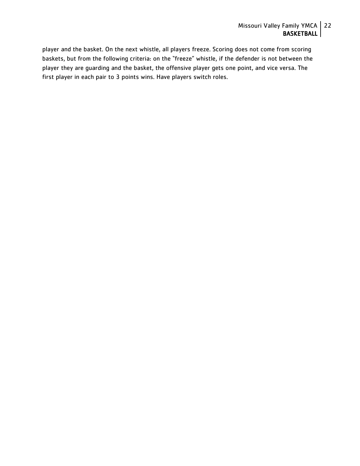player and the basket. On the next whistle, all players freeze. Scoring does not come from scoring baskets, but from the following criteria: on the "freeze" whistle, if the defender is not between the player they are guarding and the basket, the offensive player gets one point, and vice versa. The first player in each pair to 3 points wins. Have players switch roles.